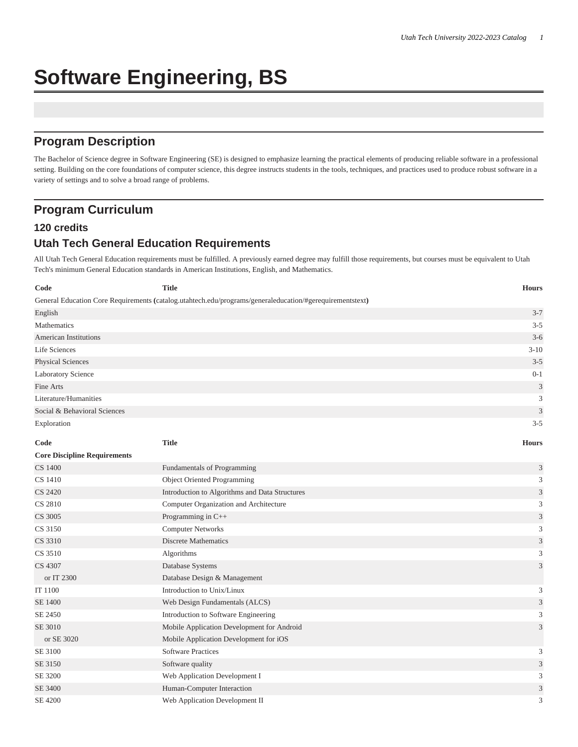# **Software Engineering, BS**

# **Program Description**

The Bachelor of Science degree in Software Engineering (SE) is designed to emphasize learning the practical elements of producing reliable software in a professional setting. Building on the core foundations of computer science, this degree instructs students in the tools, techniques, and practices used to produce robust software in a variety of settings and to solve a broad range of problems.

# **Program Curriculum**

#### **120 credits**

# **Utah Tech General Education Requirements**

All Utah Tech General Education requirements must be fulfilled. A previously earned degree may fulfill those requirements, but courses must be equivalent to Utah Tech's minimum General Education standards in American Institutions, English, and Mathematics.

| Code                                | <b>Title</b>                                                                                             | <b>Hours</b>                |
|-------------------------------------|----------------------------------------------------------------------------------------------------------|-----------------------------|
|                                     | General Education Core Requirements (catalog.utahtech.edu/programs/generaleducation/#gerequirementstext) |                             |
| English                             |                                                                                                          | $3 - 7$                     |
| Mathematics                         |                                                                                                          | $3 - 5$                     |
| American Institutions               |                                                                                                          | $3 - 6$                     |
| Life Sciences                       |                                                                                                          | $3 - 10$                    |
| Physical Sciences                   |                                                                                                          | $3 - 5$                     |
| <b>Laboratory Science</b>           |                                                                                                          | $0 - 1$                     |
| Fine Arts                           |                                                                                                          | $\mathfrak{Z}$              |
| Literature/Humanities               |                                                                                                          | 3                           |
| Social & Behavioral Sciences        |                                                                                                          | $\ensuremath{\mathfrak{Z}}$ |
| Exploration                         |                                                                                                          | $3 - 5$                     |
| Code                                | <b>Title</b>                                                                                             | <b>Hours</b>                |
| <b>Core Discipline Requirements</b> |                                                                                                          |                             |
| CS 1400                             | Fundamentals of Programming                                                                              | 3                           |
| CS 1410                             | Object Oriented Programming                                                                              | 3                           |
| CS 2420                             | Introduction to Algorithms and Data Structures                                                           | 3                           |
| CS 2810                             | Computer Organization and Architecture                                                                   | 3                           |
| CS 3005                             | Programming in C++                                                                                       | $\ensuremath{\mathfrak{Z}}$ |
| CS 3150                             | <b>Computer Networks</b>                                                                                 | 3                           |
| CS 3310                             | <b>Discrete Mathematics</b>                                                                              | $\ensuremath{\mathfrak{Z}}$ |
| CS 3510                             | Algorithms                                                                                               | $\sqrt{3}$                  |
| CS 4307                             | Database Systems                                                                                         | 3                           |
| or IT 2300                          | Database Design & Management                                                                             |                             |
| IT 1100                             | Introduction to Unix/Linux                                                                               | 3                           |
| SE 1400                             | Web Design Fundamentals (ALCS)                                                                           | 3                           |
| SE 2450                             | Introduction to Software Engineering                                                                     | 3                           |
| SE 3010                             | Mobile Application Development for Android                                                               | 3                           |
| or SE 3020                          | Mobile Application Development for iOS                                                                   |                             |
| SE 3100                             | <b>Software Practices</b>                                                                                | 3                           |
| SE 3150                             | Software quality                                                                                         | $\ensuremath{\mathfrak{Z}}$ |
| SE 3200                             | Web Application Development I                                                                            | 3                           |
| SE 3400                             | Human-Computer Interaction                                                                               | $\ensuremath{\mathfrak{Z}}$ |
| SE 4200                             | Web Application Development II                                                                           | 3                           |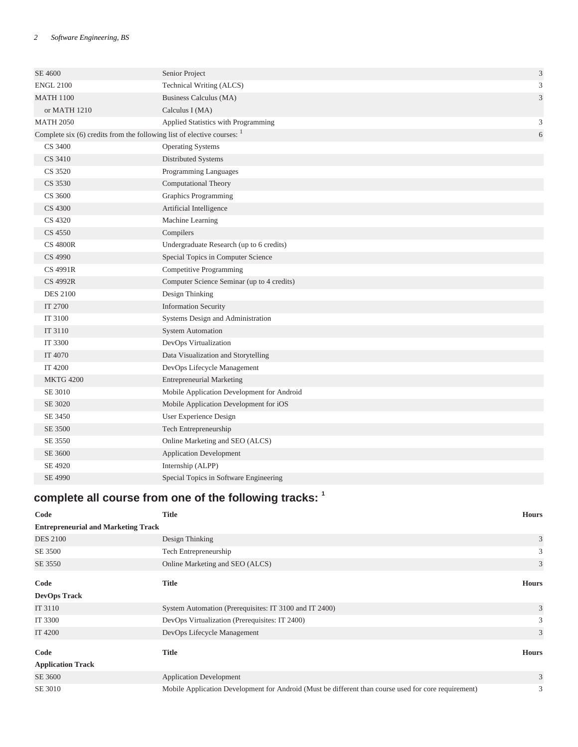| SE 4600                                                                     | Senior Project                             | $\sqrt{3}$     |
|-----------------------------------------------------------------------------|--------------------------------------------|----------------|
| <b>ENGL 2100</b>                                                            | Technical Writing (ALCS)                   | $\mathfrak{Z}$ |
| <b>MATH 1100</b>                                                            | Business Calculus (MA)                     | $\mathfrak{Z}$ |
| or MATH 1210                                                                | Calculus I (MA)                            |                |
| <b>MATH 2050</b>                                                            | Applied Statistics with Programming        | 3              |
| Complete six $(6)$ credits from the following list of elective courses: $1$ |                                            | $6\,$          |
| CS 3400                                                                     | <b>Operating Systems</b>                   |                |
| CS 3410                                                                     | Distributed Systems                        |                |
| CS 3520                                                                     | Programming Languages                      |                |
| CS 3530                                                                     | <b>Computational Theory</b>                |                |
| CS 3600                                                                     | <b>Graphics Programming</b>                |                |
| CS 4300                                                                     | Artificial Intelligence                    |                |
| CS 4320                                                                     | Machine Learning                           |                |
| CS 4550                                                                     | Compilers                                  |                |
| <b>CS 4800R</b>                                                             | Undergraduate Research (up to 6 credits)   |                |
| CS 4990                                                                     | Special Topics in Computer Science         |                |
| <b>CS 4991R</b>                                                             | <b>Competitive Programming</b>             |                |
| <b>CS 4992R</b>                                                             | Computer Science Seminar (up to 4 credits) |                |
| <b>DES 2100</b>                                                             | Design Thinking                            |                |
| IT 2700                                                                     | <b>Information Security</b>                |                |
| IT 3100                                                                     | Systems Design and Administration          |                |
| IT 3110                                                                     | <b>System Automation</b>                   |                |
| IT 3300                                                                     | DevOps Virtualization                      |                |
| IT 4070                                                                     | Data Visualization and Storytelling        |                |
| IT 4200                                                                     | DevOps Lifecycle Management                |                |
| <b>MKTG 4200</b>                                                            | <b>Entrepreneurial Marketing</b>           |                |
| SE 3010                                                                     | Mobile Application Development for Android |                |
| SE 3020                                                                     | Mobile Application Development for iOS     |                |
| SE 3450                                                                     | User Experience Design                     |                |
| SE 3500                                                                     | Tech Entrepreneurship                      |                |
| SE 3550                                                                     | Online Marketing and SEO (ALCS)            |                |
| SE 3600                                                                     | <b>Application Development</b>             |                |
| SE 4920                                                                     | Internship (ALPP)                          |                |
| SE 4990                                                                     | Special Topics in Software Engineering     |                |

# **complete all course from one of the following tracks: <sup>1</sup>**

| Code                                       | <b>Title</b>                                                                                         | <b>Hours</b> |
|--------------------------------------------|------------------------------------------------------------------------------------------------------|--------------|
| <b>Entrepreneurial and Marketing Track</b> |                                                                                                      |              |
| <b>DES 2100</b>                            | Design Thinking                                                                                      | 3            |
| SE 3500                                    | Tech Entrepreneurship                                                                                | 3            |
| SE 3550                                    | Online Marketing and SEO (ALCS)                                                                      | 3            |
| Code                                       | <b>Title</b>                                                                                         | <b>Hours</b> |
| <b>DevOps Track</b>                        |                                                                                                      |              |
| IT 3110                                    | System Automation (Prerequisites: IT 3100 and IT 2400)                                               | 3            |
| IT 3300                                    | DevOps Virtualization (Prerequisites: IT 2400)                                                       | 3            |
| IT 4200                                    | DevOps Lifecycle Management                                                                          | 3            |
| Code                                       | <b>Title</b>                                                                                         | <b>Hours</b> |
| <b>Application Track</b>                   |                                                                                                      |              |
| SE 3600                                    | <b>Application Development</b>                                                                       | 3            |
| SE 3010                                    | Mobile Application Development for Android (Must be different than course used for core requirement) | 3            |